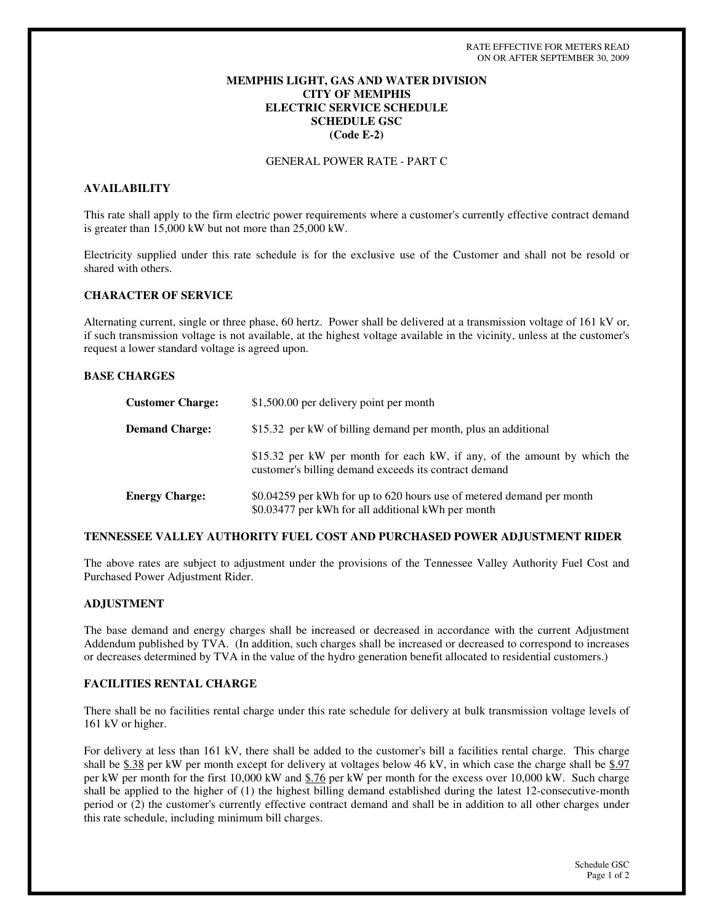# **MEMPHIS LIGHT, GAS AND WATER DIVISION CITY OF MEMPHIS ELECTRIC SERVICE SCHEDULE SCHEDULE GSC (Code E-2)**

GENERAL POWER RATE - PART C

# **AVAILABILITY**

This rate shall apply to the firm electric power requirements where a customer's currently effective contract demand is greater than 15,000 kW but not more than 25,000 kW.

Electricity supplied under this rate schedule is for the exclusive use of the Customer and shall not be resold or shared with others.

## **CHARACTER OF SERVICE**

Alternating current, single or three phase, 60 hertz. Power shall be delivered at a transmission voltage of 161 kV or, if such transmission voltage is not available, at the highest voltage available in the vicinity, unless at the customer's request a lower standard voltage is agreed upon.

### **BASE CHARGES**

| <b>Customer Charge:</b> | \$1,500.00 per delivery point per month                                                                                           |
|-------------------------|-----------------------------------------------------------------------------------------------------------------------------------|
| <b>Demand Charge:</b>   | \$15.32 per kW of billing demand per month, plus an additional                                                                    |
|                         | \$15.32 per kW per month for each kW, if any, of the amount by which the<br>customer's billing demand exceeds its contract demand |
| <b>Energy Charge:</b>   | \$0.04259 per kWh for up to 620 hours use of metered demand per month<br>\$0.03477 per kWh for all additional kWh per month       |

### **TENNESSEE VALLEY AUTHORITY FUEL COST AND PURCHASED POWER ADJUSTMENT RIDER**

The above rates are subject to adjustment under the provisions of the Tennessee Valley Authority Fuel Cost and Purchased Power Adjustment Rider.

### **ADJUSTMENT**

The base demand and energy charges shall be increased or decreased in accordance with the current Adjustment Addendum published by TVA. (In addition, such charges shall be increased or decreased to correspond to increases or decreases determined by TVA in the value of the hydro generation benefit allocated to residential customers.)

### **FACILITIES RENTAL CHARGE**

There shall be no facilities rental charge under this rate schedule for delivery at bulk transmission voltage levels of 161 kV or higher.

For delivery at less than 161 kV, there shall be added to the customer's bill a facilities rental charge. This charge shall be \$.38 per kW per month except for delivery at voltages below 46 kV, in which case the charge shall be \$.97 per kW per month for the first 10,000 kW and \$.76 per kW per month for the excess over 10,000 kW. Such charge shall be applied to the higher of (1) the highest billing demand established during the latest 12-consecutive-month period or (2) the customer's currently effective contract demand and shall be in addition to all other charges under this rate schedule, including minimum bill charges.